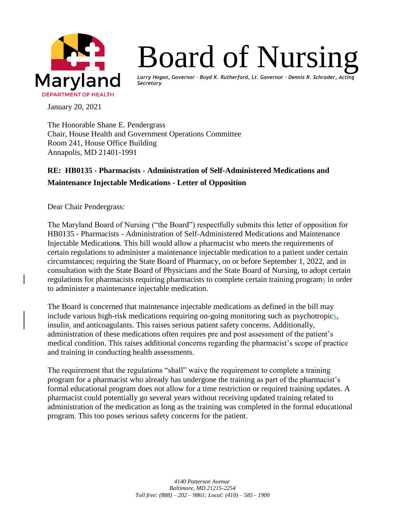

## Board of Nursing

*Larry Hogan, Governor ∙ Boyd K. Rutherford, Lt. Governor ∙ Dennis R. Schrader, Acting Secretary*

January 20, 2021

The Honorable Shane E. Pendergrass Chair, House Health and Government Operations Committee Room 241, House Office Building Annapolis, MD 21401-1991

## **RE: HB0135 - Pharmacists - Administration of Self-Administered Medications and Maintenance Injectable Medications - Letter of Opposition**

Dear Chair Pendergrass:

The Maryland Board of Nursing ("the Board") respectfully submits this letter of opposition for HB0135 - Pharmacists - Administration of Self-Administered Medications and Maintenance Injectable Medication**s**. This bill would allow a pharmacist who meets the requirements of certain regulations to administer a maintenance injectable medication to a patient under certain circumstances; requiring the State Board of Pharmacy, on or before September 1, 2022, and in consultation with the State Board of Physicians and the State Board of Nursing, to adopt certain regulations for pharmacists requiring pharmacists to complete certain training programs in order to administer a maintenance injectable medication.

The Board is concerned that maintenance injectable medications as defined in the bill may include various high-risk medications requiring on-going monitoring such as psychotropics, insulin, and anticoagulants. This raises serious patient safety concerns. Additionally, administration of these medications often requires pre and post assessment of the patient's medical condition. This raises additional concerns regarding the pharmacist's scope of practice and training in conducting health assessments.

The requirement that the regulations "shall" waive the requirement to complete a training program for a pharmacist who already has undergone the training as part of the pharmacist's formal educational program does not allow for a time restriction or required training updates. A pharmacist could potentially go several years without receiving updated training related to administration of the medication as long as the training was completed in the formal educational program. This too poses serious safety concerns for the patient.